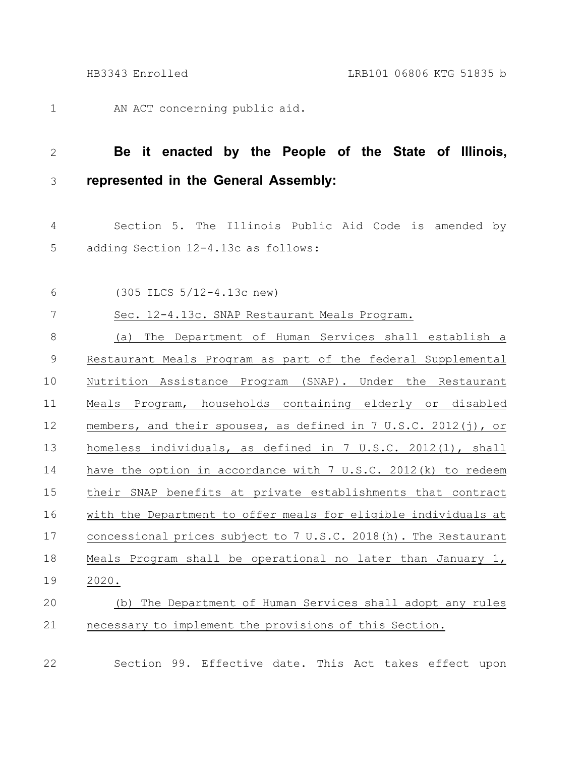AN ACT concerning public aid. 1

## **Be it enacted by the People of the State of Illinois, represented in the General Assembly:** 2 3

Section 5. The Illinois Public Aid Code is amended by adding Section 12-4.13c as follows: 4 5

(305 ILCS 5/12-4.13c new) 6

Sec. 12-4.13c. SNAP Restaurant Meals Program. 7

(a) The Department of Human Services shall establish a Restaurant Meals Program as part of the federal Supplemental Nutrition Assistance Program (SNAP). Under the Restaurant Meals Program, households containing elderly or disabled members, and their spouses, as defined in 7 U.S.C. 2012(j), or homeless individuals, as defined in 7 U.S.C. 2012(l), shall have the option in accordance with 7 U.S.C. 2012(k) to redeem their SNAP benefits at private establishments that contract with the Department to offer meals for eligible individuals at concessional prices subject to 7 U.S.C. 2018(h). The Restaurant Meals Program shall be operational no later than January 1, 2020. 8 9 10 11 12 13 14 15 16 17 18 19

## (b) The Department of Human Services shall adopt any rules necessary to implement the provisions of this Section. 20 21

22

Section 99. Effective date. This Act takes effect upon